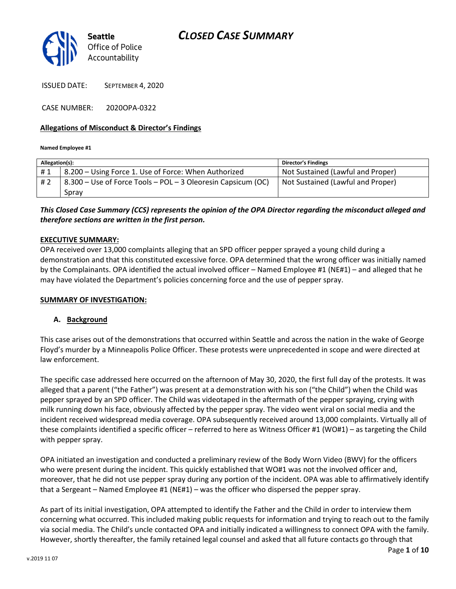

ISSUED DATE: SEPTEMBER 4, 2020

CASE NUMBER: 2020OPA-0322

#### Allegations of Misconduct & Director's Findings

Named Employee #1

| Allegation(s): |                                                              | <b>Director's Findings</b>        |
|----------------|--------------------------------------------------------------|-----------------------------------|
| #1             | 8.200 – Using Force 1. Use of Force: When Authorized         | Not Sustained (Lawful and Proper) |
| #2             | 8.300 – Use of Force Tools – POL – 3 Oleoresin Capsicum (OC) | Not Sustained (Lawful and Proper) |
|                | Spray                                                        |                                   |

## This Closed Case Summary (CCS) represents the opinion of the OPA Director regarding the misconduct alleged and therefore sections are written in the first person.

#### EXECUTIVE SUMMARY:

OPA received over 13,000 complaints alleging that an SPD officer pepper sprayed a young child during a demonstration and that this constituted excessive force. OPA determined that the wrong officer was initially named by the Complainants. OPA identified the actual involved officer – Named Employee #1 (NE#1) – and alleged that he may have violated the Department's policies concerning force and the use of pepper spray.

#### SUMMARY OF INVESTIGATION:

### A. Background

This case arises out of the demonstrations that occurred within Seattle and across the nation in the wake of George Floyd's murder by a Minneapolis Police Officer. These protests were unprecedented in scope and were directed at law enforcement.

The specific case addressed here occurred on the afternoon of May 30, 2020, the first full day of the protests. It was alleged that a parent ("the Father") was present at a demonstration with his son ("the Child") when the Child was pepper sprayed by an SPD officer. The Child was videotaped in the aftermath of the pepper spraying, crying with milk running down his face, obviously affected by the pepper spray. The video went viral on social media and the incident received widespread media coverage. OPA subsequently received around 13,000 complaints. Virtually all of these complaints identified a specific officer – referred to here as Witness Officer #1 (WO#1) – as targeting the Child with pepper spray.

OPA initiated an investigation and conducted a preliminary review of the Body Worn Video (BWV) for the officers who were present during the incident. This quickly established that WO#1 was not the involved officer and, moreover, that he did not use pepper spray during any portion of the incident. OPA was able to affirmatively identify that a Sergeant – Named Employee #1 (NE#1) – was the officer who dispersed the pepper spray.

As part of its initial investigation, OPA attempted to identify the Father and the Child in order to interview them concerning what occurred. This included making public requests for information and trying to reach out to the family via social media. The Child's uncle contacted OPA and initially indicated a willingness to connect OPA with the family. However, shortly thereafter, the family retained legal counsel and asked that all future contacts go through that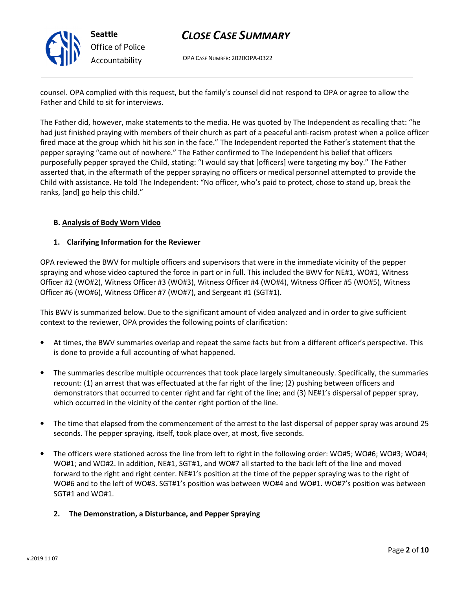

# CLOSE CASE SUMMARY

OPA CASE NUMBER: 2020OPA-0322

counsel. OPA complied with this request, but the family's counsel did not respond to OPA or agree to allow the Father and Child to sit for interviews.

The Father did, however, make statements to the media. He was quoted by The Independent as recalling that: "he had just finished praying with members of their church as part of a peaceful anti-racism protest when a police officer fired mace at the group which hit his son in the face." The Independent reported the Father's statement that the pepper spraying "came out of nowhere." The Father confirmed to The Independent his belief that officers purposefully pepper sprayed the Child, stating: "I would say that [officers] were targeting my boy." The Father asserted that, in the aftermath of the pepper spraying no officers or medical personnel attempted to provide the Child with assistance. He told The Independent: "No officer, who's paid to protect, chose to stand up, break the ranks, [and] go help this child."

## B. Analysis of Body Worn Video

### 1. Clarifying Information for the Reviewer

OPA reviewed the BWV for multiple officers and supervisors that were in the immediate vicinity of the pepper spraying and whose video captured the force in part or in full. This included the BWV for NE#1, WO#1, Witness Officer #2 (WO#2), Witness Officer #3 (WO#3), Witness Officer #4 (WO#4), Witness Officer #5 (WO#5), Witness Officer #6 (WO#6), Witness Officer #7 (WO#7), and Sergeant #1 (SGT#1).

This BWV is summarized below. Due to the significant amount of video analyzed and in order to give sufficient context to the reviewer, OPA provides the following points of clarification:

- At times, the BWV summaries overlap and repeat the same facts but from a different officer's perspective. This is done to provide a full accounting of what happened.
- The summaries describe multiple occurrences that took place largely simultaneously. Specifically, the summaries recount: (1) an arrest that was effectuated at the far right of the line; (2) pushing between officers and demonstrators that occurred to center right and far right of the line; and (3) NE#1's dispersal of pepper spray, which occurred in the vicinity of the center right portion of the line.
- The time that elapsed from the commencement of the arrest to the last dispersal of pepper spray was around 25 seconds. The pepper spraying, itself, took place over, at most, five seconds.
- The officers were stationed across the line from left to right in the following order: WO#5; WO#6; WO#3; WO#4; WO#1; and WO#2. In addition, NE#1, SGT#1, and WO#7 all started to the back left of the line and moved forward to the right and right center. NE#1's position at the time of the pepper spraying was to the right of WO#6 and to the left of WO#3. SGT#1's position was between WO#4 and WO#1. WO#7's position was between SGT#1 and WO#1.
	- 2. The Demonstration, a Disturbance, and Pepper Spraying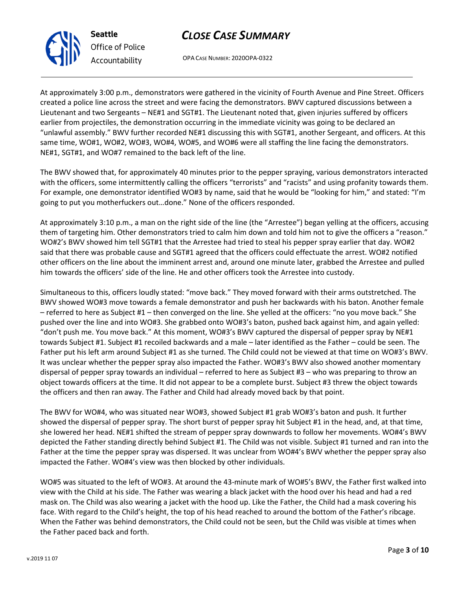OPA CASE NUMBER: 2020OPA-0322

At approximately 3:00 p.m., demonstrators were gathered in the vicinity of Fourth Avenue and Pine Street. Officers created a police line across the street and were facing the demonstrators. BWV captured discussions between a Lieutenant and two Sergeants – NE#1 and SGT#1. The Lieutenant noted that, given injuries suffered by officers earlier from projectiles, the demonstration occurring in the immediate vicinity was going to be declared an "unlawful assembly." BWV further recorded NE#1 discussing this with SGT#1, another Sergeant, and officers. At this same time, WO#1, WO#2, WO#3, WO#4, WO#5, and WO#6 were all staffing the line facing the demonstrators. NE#1, SGT#1, and WO#7 remained to the back left of the line.

The BWV showed that, for approximately 40 minutes prior to the pepper spraying, various demonstrators interacted with the officers, some intermittently calling the officers "terrorists" and "racists" and using profanity towards them. For example, one demonstrator identified WO#3 by name, said that he would be "looking for him," and stated: "I'm going to put you motherfuckers out…done." None of the officers responded.

At approximately 3:10 p.m., a man on the right side of the line (the "Arrestee") began yelling at the officers, accusing them of targeting him. Other demonstrators tried to calm him down and told him not to give the officers a "reason." WO#2's BWV showed him tell SGT#1 that the Arrestee had tried to steal his pepper spray earlier that day. WO#2 said that there was probable cause and SGT#1 agreed that the officers could effectuate the arrest. WO#2 notified other officers on the line about the imminent arrest and, around one minute later, grabbed the Arrestee and pulled him towards the officers' side of the line. He and other officers took the Arrestee into custody.

Simultaneous to this, officers loudly stated: "move back." They moved forward with their arms outstretched. The BWV showed WO#3 move towards a female demonstrator and push her backwards with his baton. Another female – referred to here as Subject #1 – then converged on the line. She yelled at the officers: "no you move back." She pushed over the line and into WO#3. She grabbed onto WO#3's baton, pushed back against him, and again yelled: "don't push me. You move back." At this moment, WO#3's BWV captured the dispersal of pepper spray by NE#1 towards Subject #1. Subject #1 recoiled backwards and a male – later identified as the Father – could be seen. The Father put his left arm around Subject #1 as she turned. The Child could not be viewed at that time on WO#3's BWV. It was unclear whether the pepper spray also impacted the Father. WO#3's BWV also showed another momentary dispersal of pepper spray towards an individual – referred to here as Subject #3 – who was preparing to throw an object towards officers at the time. It did not appear to be a complete burst. Subject #3 threw the object towards the officers and then ran away. The Father and Child had already moved back by that point.

The BWV for WO#4, who was situated near WO#3, showed Subject #1 grab WO#3's baton and push. It further showed the dispersal of pepper spray. The short burst of pepper spray hit Subject #1 in the head, and, at that time, she lowered her head. NE#1 shifted the stream of pepper spray downwards to follow her movements. WO#4's BWV depicted the Father standing directly behind Subject #1. The Child was not visible. Subject #1 turned and ran into the Father at the time the pepper spray was dispersed. It was unclear from WO#4's BWV whether the pepper spray also impacted the Father. WO#4's view was then blocked by other individuals.

WO#5 was situated to the left of WO#3. At around the 43-minute mark of WO#5's BWV, the Father first walked into view with the Child at his side. The Father was wearing a black jacket with the hood over his head and had a red mask on. The Child was also wearing a jacket with the hood up. Like the Father, the Child had a mask covering his face. With regard to the Child's height, the top of his head reached to around the bottom of the Father's ribcage. When the Father was behind demonstrators, the Child could not be seen, but the Child was visible at times when the Father paced back and forth.



Seattle

Office of Police Accountability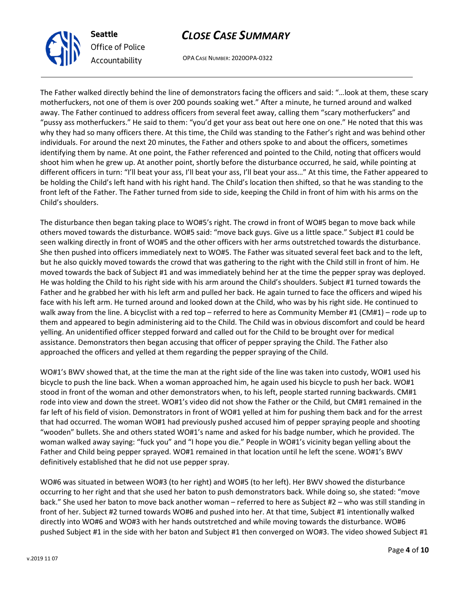

# CLOSE CASE SUMMARY

OPA CASE NUMBER: 2020OPA-0322

The Father walked directly behind the line of demonstrators facing the officers and said: "…look at them, these scary motherfuckers, not one of them is over 200 pounds soaking wet." After a minute, he turned around and walked away. The Father continued to address officers from several feet away, calling them "scary motherfuckers" and "pussy ass motherfuckers." He said to them: "you'd get your ass beat out here one on one." He noted that this was why they had so many officers there. At this time, the Child was standing to the Father's right and was behind other individuals. For around the next 20 minutes, the Father and others spoke to and about the officers, sometimes identifying them by name. At one point, the Father referenced and pointed to the Child, noting that officers would shoot him when he grew up. At another point, shortly before the disturbance occurred, he said, while pointing at different officers in turn: "I'll beat your ass, I'll beat your ass, I'll beat your ass…" At this time, the Father appeared to be holding the Child's left hand with his right hand. The Child's location then shifted, so that he was standing to the front left of the Father. The Father turned from side to side, keeping the Child in front of him with his arms on the Child's shoulders.

The disturbance then began taking place to WO#5's right. The crowd in front of WO#5 began to move back while others moved towards the disturbance. WO#5 said: "move back guys. Give us a little space." Subject #1 could be seen walking directly in front of WO#5 and the other officers with her arms outstretched towards the disturbance. She then pushed into officers immediately next to WO#5. The Father was situated several feet back and to the left, but he also quickly moved towards the crowd that was gathering to the right with the Child still in front of him. He moved towards the back of Subject #1 and was immediately behind her at the time the pepper spray was deployed. He was holding the Child to his right side with his arm around the Child's shoulders. Subject #1 turned towards the Father and he grabbed her with his left arm and pulled her back. He again turned to face the officers and wiped his face with his left arm. He turned around and looked down at the Child, who was by his right side. He continued to walk away from the line. A bicyclist with a red top – referred to here as Community Member #1 (CM#1) – rode up to them and appeared to begin administering aid to the Child. The Child was in obvious discomfort and could be heard yelling. An unidentified officer stepped forward and called out for the Child to be brought over for medical assistance. Demonstrators then began accusing that officer of pepper spraying the Child. The Father also approached the officers and yelled at them regarding the pepper spraying of the Child.

WO#1's BWV showed that, at the time the man at the right side of the line was taken into custody, WO#1 used his bicycle to push the line back. When a woman approached him, he again used his bicycle to push her back. WO#1 stood in front of the woman and other demonstrators when, to his left, people started running backwards. CM#1 rode into view and down the street. WO#1's video did not show the Father or the Child, but CM#1 remained in the far left of his field of vision. Demonstrators in front of WO#1 yelled at him for pushing them back and for the arrest that had occurred. The woman WO#1 had previously pushed accused him of pepper spraying people and shooting "wooden" bullets. She and others stated WO#1's name and asked for his badge number, which he provided. The woman walked away saying: "fuck you" and "I hope you die." People in WO#1's vicinity began yelling about the Father and Child being pepper sprayed. WO#1 remained in that location until he left the scene. WO#1's BWV definitively established that he did not use pepper spray.

WO#6 was situated in between WO#3 (to her right) and WO#5 (to her left). Her BWV showed the disturbance occurring to her right and that she used her baton to push demonstrators back. While doing so, she stated: "move back." She used her baton to move back another woman – referred to here as Subject #2 – who was still standing in front of her. Subject #2 turned towards WO#6 and pushed into her. At that time, Subject #1 intentionally walked directly into WO#6 and WO#3 with her hands outstretched and while moving towards the disturbance. WO#6 pushed Subject #1 in the side with her baton and Subject #1 then converged on WO#3. The video showed Subject #1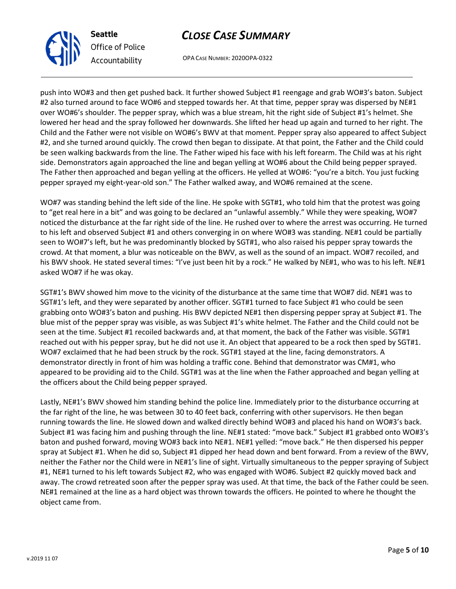

OPA CASE NUMBER: 2020OPA-0322

push into WO#3 and then get pushed back. It further showed Subject #1 reengage and grab WO#3's baton. Subject #2 also turned around to face WO#6 and stepped towards her. At that time, pepper spray was dispersed by NE#1 over WO#6's shoulder. The pepper spray, which was a blue stream, hit the right side of Subject #1's helmet. She lowered her head and the spray followed her downwards. She lifted her head up again and turned to her right. The Child and the Father were not visible on WO#6's BWV at that moment. Pepper spray also appeared to affect Subject #2, and she turned around quickly. The crowd then began to dissipate. At that point, the Father and the Child could be seen walking backwards from the line. The Father wiped his face with his left forearm. The Child was at his right side. Demonstrators again approached the line and began yelling at WO#6 about the Child being pepper sprayed. The Father then approached and began yelling at the officers. He yelled at WO#6: "you're a bitch. You just fucking pepper sprayed my eight-year-old son." The Father walked away, and WO#6 remained at the scene.

WO#7 was standing behind the left side of the line. He spoke with SGT#1, who told him that the protest was going to "get real here in a bit" and was going to be declared an "unlawful assembly." While they were speaking, WO#7 noticed the disturbance at the far right side of the line. He rushed over to where the arrest was occurring. He turned to his left and observed Subject #1 and others converging in on where WO#3 was standing. NE#1 could be partially seen to WO#7's left, but he was predominantly blocked by SGT#1, who also raised his pepper spray towards the crowd. At that moment, a blur was noticeable on the BWV, as well as the sound of an impact. WO#7 recoiled, and his BWV shook. He stated several times: "I've just been hit by a rock." He walked by NE#1, who was to his left. NE#1 asked WO#7 if he was okay.

SGT#1's BWV showed him move to the vicinity of the disturbance at the same time that WO#7 did. NE#1 was to SGT#1's left, and they were separated by another officer. SGT#1 turned to face Subject #1 who could be seen grabbing onto WO#3's baton and pushing. His BWV depicted NE#1 then dispersing pepper spray at Subject #1. The blue mist of the pepper spray was visible, as was Subject #1's white helmet. The Father and the Child could not be seen at the time. Subject #1 recoiled backwards and, at that moment, the back of the Father was visible. SGT#1 reached out with his pepper spray, but he did not use it. An object that appeared to be a rock then sped by SGT#1. WO#7 exclaimed that he had been struck by the rock. SGT#1 stayed at the line, facing demonstrators. A demonstrator directly in front of him was holding a traffic cone. Behind that demonstrator was CM#1, who appeared to be providing aid to the Child. SGT#1 was at the line when the Father approached and began yelling at the officers about the Child being pepper sprayed.

Lastly, NE#1's BWV showed him standing behind the police line. Immediately prior to the disturbance occurring at the far right of the line, he was between 30 to 40 feet back, conferring with other supervisors. He then began running towards the line. He slowed down and walked directly behind WO#3 and placed his hand on WO#3's back. Subject #1 was facing him and pushing through the line. NE#1 stated: "move back." Subject #1 grabbed onto WO#3's baton and pushed forward, moving WO#3 back into NE#1. NE#1 yelled: "move back." He then dispersed his pepper spray at Subject #1. When he did so, Subject #1 dipped her head down and bent forward. From a review of the BWV, neither the Father nor the Child were in NE#1's line of sight. Virtually simultaneous to the pepper spraying of Subject #1, NE#1 turned to his left towards Subject #2, who was engaged with WO#6. Subject #2 quickly moved back and away. The crowd retreated soon after the pepper spray was used. At that time, the back of the Father could be seen. NE#1 remained at the line as a hard object was thrown towards the officers. He pointed to where he thought the object came from.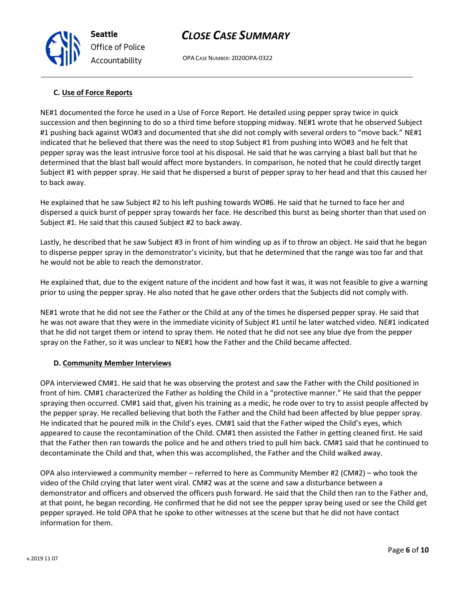OPA CASE NUMBER: 2020OPA-0322

## C. Use of Force Reports

NE#1 documented the force he used in a Use of Force Report. He detailed using pepper spray twice in quick succession and then beginning to do so a third time before stopping midway. NE#1 wrote that he observed Subject #1 pushing back against WO#3 and documented that she did not comply with several orders to "move back." NE#1 indicated that he believed that there was the need to stop Subject #1 from pushing into WO#3 and he felt that pepper spray was the least intrusive force tool at his disposal. He said that he was carrying a blast ball but that he determined that the blast ball would affect more bystanders. In comparison, he noted that he could directly target Subject #1 with pepper spray. He said that he dispersed a burst of pepper spray to her head and that this caused her to back away.

He explained that he saw Subject #2 to his left pushing towards WO#6. He said that he turned to face her and dispersed a quick burst of pepper spray towards her face. He described this burst as being shorter than that used on Subject #1. He said that this caused Subject #2 to back away.

Lastly, he described that he saw Subject #3 in front of him winding up as if to throw an object. He said that he began to disperse pepper spray in the demonstrator's vicinity, but that he determined that the range was too far and that he would not be able to reach the demonstrator.

He explained that, due to the exigent nature of the incident and how fast it was, it was not feasible to give a warning prior to using the pepper spray. He also noted that he gave other orders that the Subjects did not comply with.

NE#1 wrote that he did not see the Father or the Child at any of the times he dispersed pepper spray. He said that he was not aware that they were in the immediate vicinity of Subject #1 until he later watched video. NE#1 indicated that he did not target them or intend to spray them. He noted that he did not see any blue dye from the pepper spray on the Father, so it was unclear to NE#1 how the Father and the Child became affected.

## D. Community Member Interviews

OPA interviewed CM#1. He said that he was observing the protest and saw the Father with the Child positioned in front of him. CM#1 characterized the Father as holding the Child in a "protective manner." He said that the pepper spraying then occurred. CM#1 said that, given his training as a medic, he rode over to try to assist people affected by the pepper spray. He recalled believing that both the Father and the Child had been affected by blue pepper spray. He indicated that he poured milk in the Child's eyes. CM#1 said that the Father wiped the Child's eyes, which appeared to cause the recontamination of the Child. CM#1 then assisted the Father in getting cleaned first. He said that the Father then ran towards the police and he and others tried to pull him back. CM#1 said that he continued to decontaminate the Child and that, when this was accomplished, the Father and the Child walked away.

OPA also interviewed a community member – referred to here as Community Member #2 (CM#2) – who took the video of the Child crying that later went viral. CM#2 was at the scene and saw a disturbance between a demonstrator and officers and observed the officers push forward. He said that the Child then ran to the Father and, at that point, he began recording. He confirmed that he did not see the pepper spray being used or see the Child get pepper sprayed. He told OPA that he spoke to other witnesses at the scene but that he did not have contact information for them.



Seattle Office of Police Accountability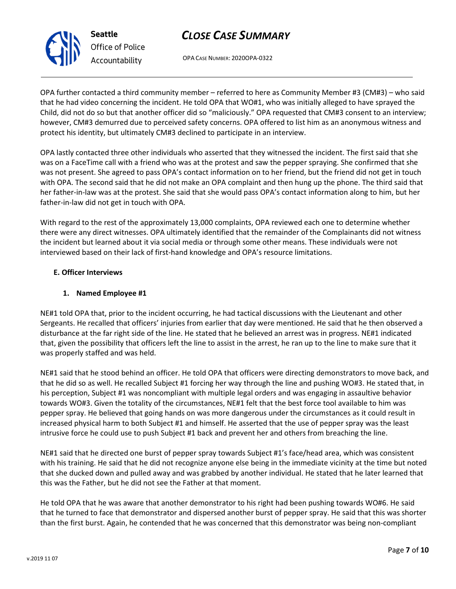OPA CASE NUMBER: 2020OPA-0322

OPA further contacted a third community member – referred to here as Community Member #3 (CM#3) – who said that he had video concerning the incident. He told OPA that WO#1, who was initially alleged to have sprayed the Child, did not do so but that another officer did so "maliciously." OPA requested that CM#3 consent to an interview; however, CM#3 demurred due to perceived safety concerns. OPA offered to list him as an anonymous witness and protect his identity, but ultimately CM#3 declined to participate in an interview.

OPA lastly contacted three other individuals who asserted that they witnessed the incident. The first said that she was on a FaceTime call with a friend who was at the protest and saw the pepper spraying. She confirmed that she was not present. She agreed to pass OPA's contact information on to her friend, but the friend did not get in touch with OPA. The second said that he did not make an OPA complaint and then hung up the phone. The third said that her father-in-law was at the protest. She said that she would pass OPA's contact information along to him, but her father-in-law did not get in touch with OPA.

With regard to the rest of the approximately 13,000 complaints, OPA reviewed each one to determine whether there were any direct witnesses. OPA ultimately identified that the remainder of the Complainants did not witness the incident but learned about it via social media or through some other means. These individuals were not interviewed based on their lack of first-hand knowledge and OPA's resource limitations.

## E. Officer Interviews

## 1. Named Employee #1

NE#1 told OPA that, prior to the incident occurring, he had tactical discussions with the Lieutenant and other Sergeants. He recalled that officers' injuries from earlier that day were mentioned. He said that he then observed a disturbance at the far right side of the line. He stated that he believed an arrest was in progress. NE#1 indicated that, given the possibility that officers left the line to assist in the arrest, he ran up to the line to make sure that it was properly staffed and was held.

NE#1 said that he stood behind an officer. He told OPA that officers were directing demonstrators to move back, and that he did so as well. He recalled Subject #1 forcing her way through the line and pushing WO#3. He stated that, in his perception, Subject #1 was noncompliant with multiple legal orders and was engaging in assaultive behavior towards WO#3. Given the totality of the circumstances, NE#1 felt that the best force tool available to him was pepper spray. He believed that going hands on was more dangerous under the circumstances as it could result in increased physical harm to both Subject #1 and himself. He asserted that the use of pepper spray was the least intrusive force he could use to push Subject #1 back and prevent her and others from breaching the line.

NE#1 said that he directed one burst of pepper spray towards Subject #1's face/head area, which was consistent with his training. He said that he did not recognize anyone else being in the immediate vicinity at the time but noted that she ducked down and pulled away and was grabbed by another individual. He stated that he later learned that this was the Father, but he did not see the Father at that moment.

He told OPA that he was aware that another demonstrator to his right had been pushing towards WO#6. He said that he turned to face that demonstrator and dispersed another burst of pepper spray. He said that this was shorter than the first burst. Again, he contended that he was concerned that this demonstrator was being non-compliant



Seattle Office of Police Accountability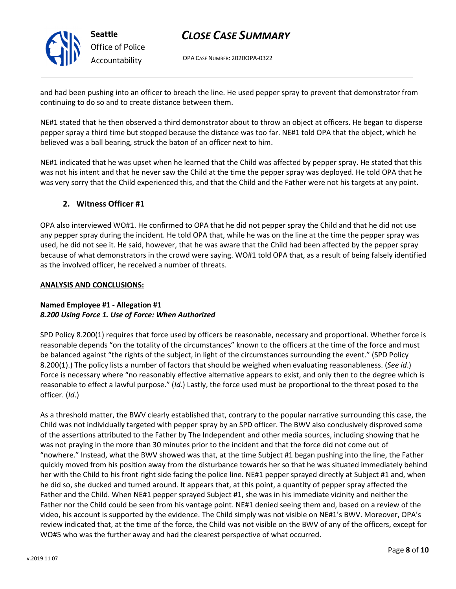

# CLOSE CASE SUMMARY

OPA CASE NUMBER: 2020OPA-0322

and had been pushing into an officer to breach the line. He used pepper spray to prevent that demonstrator from continuing to do so and to create distance between them.

NE#1 stated that he then observed a third demonstrator about to throw an object at officers. He began to disperse pepper spray a third time but stopped because the distance was too far. NE#1 told OPA that the object, which he believed was a ball bearing, struck the baton of an officer next to him.

NE#1 indicated that he was upset when he learned that the Child was affected by pepper spray. He stated that this was not his intent and that he never saw the Child at the time the pepper spray was deployed. He told OPA that he was very sorry that the Child experienced this, and that the Child and the Father were not his targets at any point.

## 2. Witness Officer #1

OPA also interviewed WO#1. He confirmed to OPA that he did not pepper spray the Child and that he did not use any pepper spray during the incident. He told OPA that, while he was on the line at the time the pepper spray was used, he did not see it. He said, however, that he was aware that the Child had been affected by the pepper spray because of what demonstrators in the crowd were saying. WO#1 told OPA that, as a result of being falsely identified as the involved officer, he received a number of threats.

## ANALYSIS AND CONCLUSIONS:

## Named Employee #1 - Allegation #1 8.200 Using Force 1. Use of Force: When Authorized

SPD Policy 8.200(1) requires that force used by officers be reasonable, necessary and proportional. Whether force is reasonable depends "on the totality of the circumstances" known to the officers at the time of the force and must be balanced against "the rights of the subject, in light of the circumstances surrounding the event." (SPD Policy 8.200(1).) The policy lists a number of factors that should be weighed when evaluating reasonableness. (See id.) Force is necessary where "no reasonably effective alternative appears to exist, and only then to the degree which is reasonable to effect a lawful purpose." (Id.) Lastly, the force used must be proportional to the threat posed to the officer. (Id.)

As a threshold matter, the BWV clearly established that, contrary to the popular narrative surrounding this case, the Child was not individually targeted with pepper spray by an SPD officer. The BWV also conclusively disproved some of the assertions attributed to the Father by The Independent and other media sources, including showing that he was not praying in the more than 30 minutes prior to the incident and that the force did not come out of "nowhere." Instead, what the BWV showed was that, at the time Subject #1 began pushing into the line, the Father quickly moved from his position away from the disturbance towards her so that he was situated immediately behind her with the Child to his front right side facing the police line. NE#1 pepper sprayed directly at Subject #1 and, when he did so, she ducked and turned around. It appears that, at this point, a quantity of pepper spray affected the Father and the Child. When NE#1 pepper sprayed Subject #1, she was in his immediate vicinity and neither the Father nor the Child could be seen from his vantage point. NE#1 denied seeing them and, based on a review of the video, his account is supported by the evidence. The Child simply was not visible on NE#1's BWV. Moreover, OPA's review indicated that, at the time of the force, the Child was not visible on the BWV of any of the officers, except for WO#5 who was the further away and had the clearest perspective of what occurred.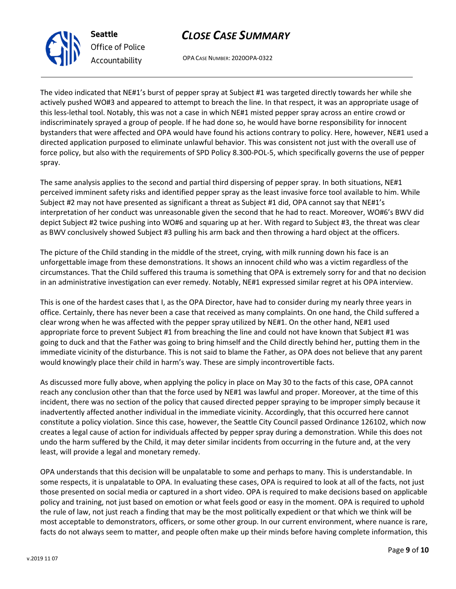OPA CASE NUMBER: 2020OPA-0322

The video indicated that NE#1's burst of pepper spray at Subject #1 was targeted directly towards her while she actively pushed WO#3 and appeared to attempt to breach the line. In that respect, it was an appropriate usage of this less-lethal tool. Notably, this was not a case in which NE#1 misted pepper spray across an entire crowd or indiscriminately sprayed a group of people. If he had done so, he would have borne responsibility for innocent bystanders that were affected and OPA would have found his actions contrary to policy. Here, however, NE#1 used a directed application purposed to eliminate unlawful behavior. This was consistent not just with the overall use of force policy, but also with the requirements of SPD Policy 8.300-POL-5, which specifically governs the use of pepper spray.

The same analysis applies to the second and partial third dispersing of pepper spray. In both situations, NE#1 perceived imminent safety risks and identified pepper spray as the least invasive force tool available to him. While Subject #2 may not have presented as significant a threat as Subject #1 did, OPA cannot say that NE#1's interpretation of her conduct was unreasonable given the second that he had to react. Moreover, WO#6's BWV did depict Subject #2 twice pushing into WO#6 and squaring up at her. With regard to Subject #3, the threat was clear as BWV conclusively showed Subject #3 pulling his arm back and then throwing a hard object at the officers.

The picture of the Child standing in the middle of the street, crying, with milk running down his face is an unforgettable image from these demonstrations. It shows an innocent child who was a victim regardless of the circumstances. That the Child suffered this trauma is something that OPA is extremely sorry for and that no decision in an administrative investigation can ever remedy. Notably, NE#1 expressed similar regret at his OPA interview.

This is one of the hardest cases that I, as the OPA Director, have had to consider during my nearly three years in office. Certainly, there has never been a case that received as many complaints. On one hand, the Child suffered a clear wrong when he was affected with the pepper spray utilized by NE#1. On the other hand, NE#1 used appropriate force to prevent Subject #1 from breaching the line and could not have known that Subject #1 was going to duck and that the Father was going to bring himself and the Child directly behind her, putting them in the immediate vicinity of the disturbance. This is not said to blame the Father, as OPA does not believe that any parent would knowingly place their child in harm's way. These are simply incontrovertible facts.

As discussed more fully above, when applying the policy in place on May 30 to the facts of this case, OPA cannot reach any conclusion other than that the force used by NE#1 was lawful and proper. Moreover, at the time of this incident, there was no section of the policy that caused directed pepper spraying to be improper simply because it inadvertently affected another individual in the immediate vicinity. Accordingly, that this occurred here cannot constitute a policy violation. Since this case, however, the Seattle City Council passed Ordinance 126102, which now creates a legal cause of action for individuals affected by pepper spray during a demonstration. While this does not undo the harm suffered by the Child, it may deter similar incidents from occurring in the future and, at the very least, will provide a legal and monetary remedy.

OPA understands that this decision will be unpalatable to some and perhaps to many. This is understandable. In some respects, it is unpalatable to OPA. In evaluating these cases, OPA is required to look at all of the facts, not just those presented on social media or captured in a short video. OPA is required to make decisions based on applicable policy and training, not just based on emotion or what feels good or easy in the moment. OPA is required to uphold the rule of law, not just reach a finding that may be the most politically expedient or that which we think will be most acceptable to demonstrators, officers, or some other group. In our current environment, where nuance is rare, facts do not always seem to matter, and people often make up their minds before having complete information, this



Seattle

Office of Police Accountability